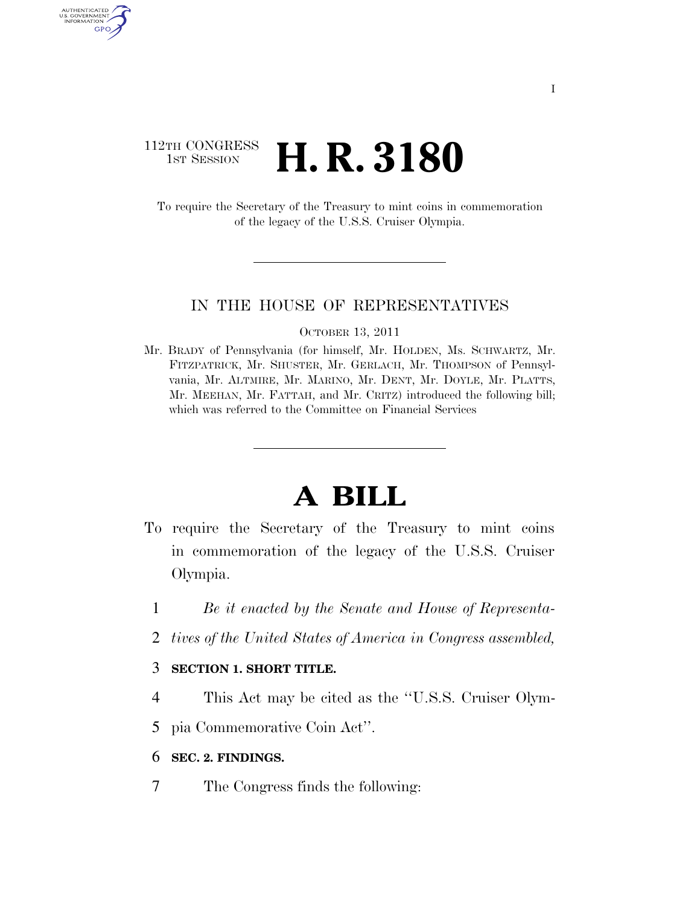# 112TH CONGRESS<br>1st Session 1ST SESSION **H. R. 3180**

AUTHENTICATED<br>U.S. GOVERNMENT<br>INFORMATION GPO

> To require the Secretary of the Treasury to mint coins in commemoration of the legacy of the U.S.S. Cruiser Olympia.

## IN THE HOUSE OF REPRESENTATIVES

OCTOBER 13, 2011

Mr. BRADY of Pennsylvania (for himself, Mr. HOLDEN, Ms. SCHWARTZ, Mr. FITZPATRICK, Mr. SHUSTER, Mr. GERLACH, Mr. THOMPSON of Pennsylvania, Mr. ALTMIRE, Mr. MARINO, Mr. DENT, Mr. DOYLE, Mr. PLATTS, Mr. MEEHAN, Mr. FATTAH, and Mr. CRITZ) introduced the following bill; which was referred to the Committee on Financial Services

# **A BILL**

- To require the Secretary of the Treasury to mint coins in commemoration of the legacy of the U.S.S. Cruiser Olympia.
	- 1 *Be it enacted by the Senate and House of Representa-*
	- 2 *tives of the United States of America in Congress assembled,*

# 3 **SECTION 1. SHORT TITLE.**

- 4 This Act may be cited as the ''U.S.S. Cruiser Olym-
- 5 pia Commemorative Coin Act''.

# 6 **SEC. 2. FINDINGS.**

7 The Congress finds the following: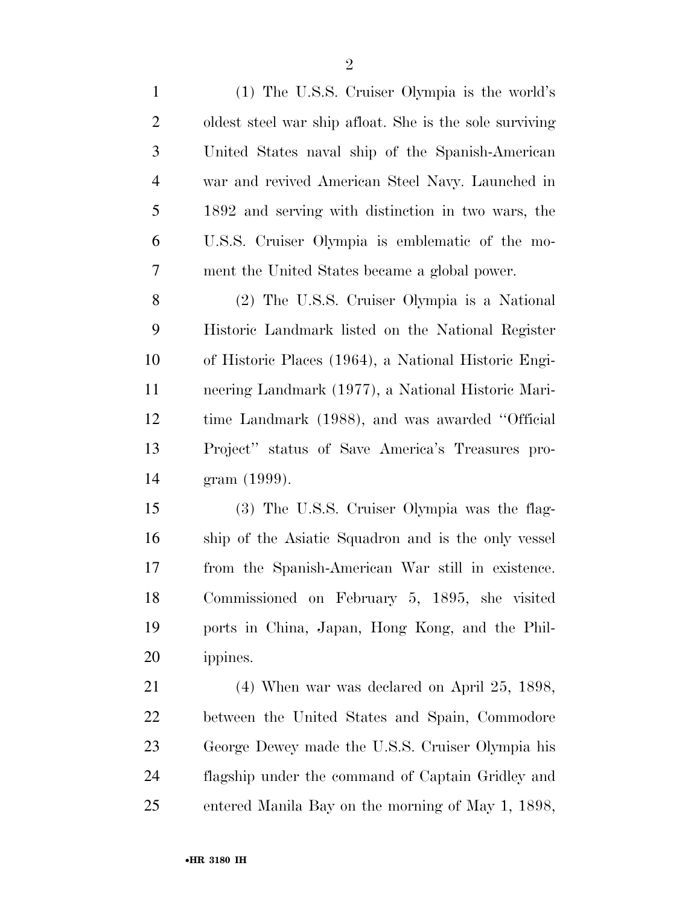| $\mathbf{1}$   | (1) The U.S.S. Cruiser Olympia is the world's           |
|----------------|---------------------------------------------------------|
| $\overline{2}$ | oldest steel war ship afloat. She is the sole surviving |
| 3              | United States naval ship of the Spanish-American        |
| $\overline{4}$ | war and revived American Steel Navy. Launched in        |
| 5              | 1892 and serving with distinction in two wars, the      |
| 6              | U.S.S. Cruiser Olympia is emblematic of the mo-         |
| 7              | ment the United States became a global power.           |
| 8              | (2) The U.S.S. Cruiser Olympia is a National            |
| 9              | Historic Landmark listed on the National Register       |
| 10             | of Historic Places (1964), a National Historic Engi-    |
| 11             | neering Landmark (1977), a National Historic Mari-      |
| 12             | time Landmark (1988), and was awarded "Official         |
| 13             | Project" status of Save America's Treasures pro-        |
| 14             | gram (1999).                                            |
| 15             | (3) The U.S.S. Cruiser Olympia was the flag-            |
| 16             | ship of the Asiatic Squadron and is the only vessel     |
| 17             | from the Spanish-American War still in existence.       |
| 18             | Commissioned on February 5, 1895, she visited           |
| 19             | ports in China, Japan, Hong Kong, and the Phil-         |
| 20             | ippines.                                                |
| 21             | $(4)$ When war was declared on April 25, 1898,          |
| 22             | between the United States and Spain, Commodore          |
| 23             | George Dewey made the U.S.S. Cruiser Olympia his        |
| 24             | flagship under the command of Captain Gridley and       |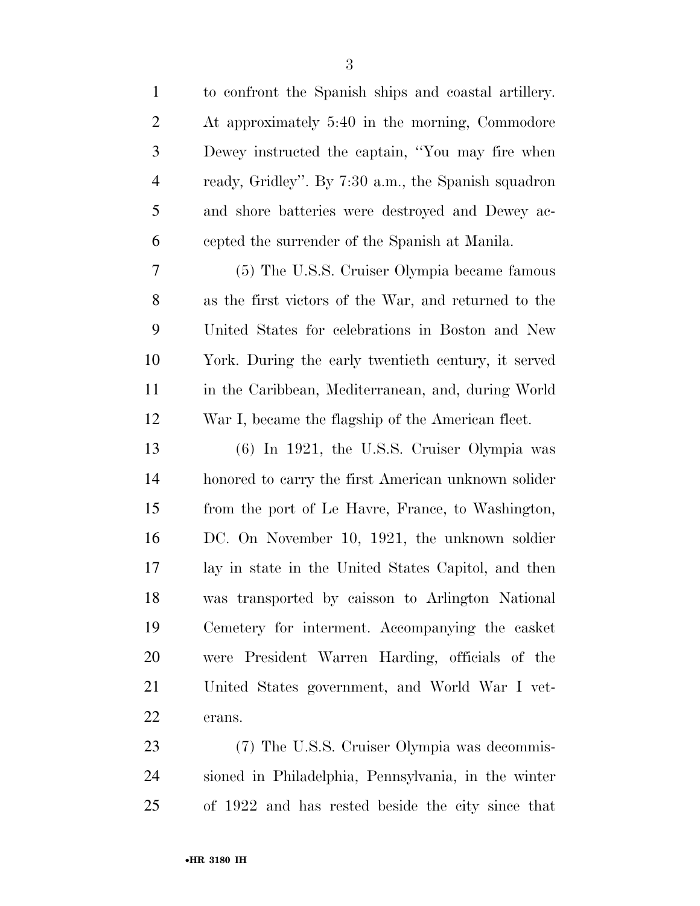| $\mathbf{1}$   | to confront the Spanish ships and coastal artillery. |
|----------------|------------------------------------------------------|
| $\overline{2}$ | At approximately 5:40 in the morning, Commodore      |
| 3              | Dewey instructed the captain, "You may fire when     |
| $\overline{4}$ | ready, Gridley". By 7:30 a.m., the Spanish squadron  |
| 5              | and shore batteries were destroyed and Dewey ac-     |
| 6              | cepted the surrender of the Spanish at Manila.       |
| 7              | (5) The U.S.S. Cruiser Olympia became famous         |
| 8              | as the first victors of the War, and returned to the |
| 9              | United States for celebrations in Boston and New     |
| 10             | York. During the early twentieth century, it served  |
| 11             | in the Caribbean, Mediterranean, and, during World   |
| 12             | War I, became the flagship of the American fleet.    |
| 13             | $(6)$ In 1921, the U.S.S. Cruiser Olympia was        |
| 14             | honored to carry the first American unknown solider  |
| 15             | from the port of Le Havre, France, to Washington,    |
| 16             | DC. On November 10, 1921, the unknown soldier        |
| 17             | lay in state in the United States Capitol, and then  |
| 18             | was transported by caisson to Arlington National     |
| 19             | Cemetery for interment. Accompanying the casket      |
| 20             | were President Warren Harding, officials of the      |
| 21             | United States government, and World War I vet-       |
| <u>22</u>      | erans.                                               |
| 23             | (7) The U.S.S. Cruiser Olympia was decommis-         |
|                |                                                      |

 sioned in Philadelphia, Pennsylvania, in the winter of 1922 and has rested beside the city since that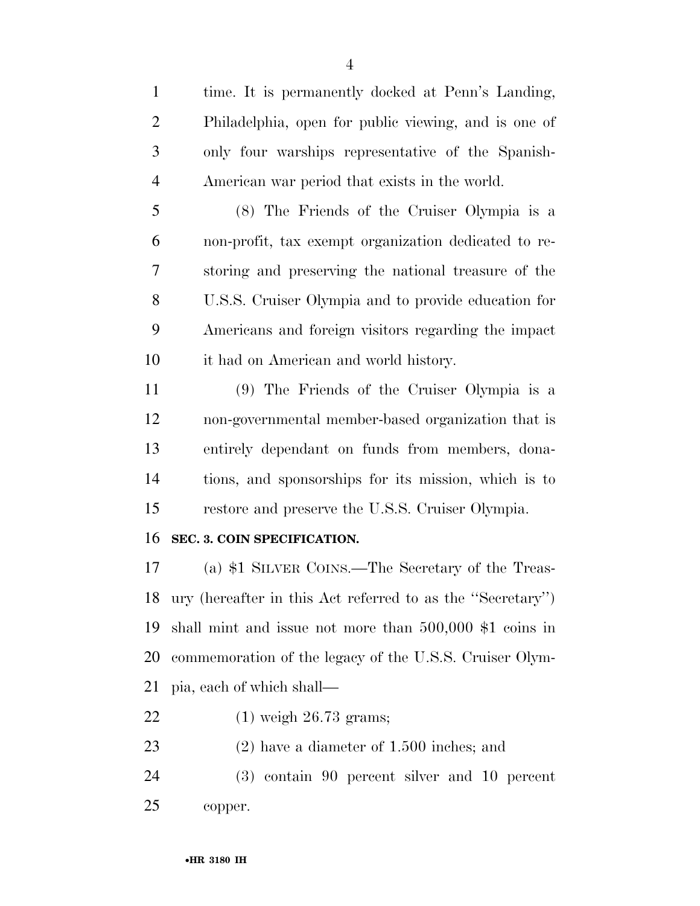1 time. It is permanently docked at Penn's Landing, Philadelphia, open for public viewing, and is one of only four warships representative of the Spanish-American war period that exists in the world.

 (8) The Friends of the Cruiser Olympia is a non-profit, tax exempt organization dedicated to re- storing and preserving the national treasure of the U.S.S. Cruiser Olympia and to provide education for Americans and foreign visitors regarding the impact it had on American and world history.

 (9) The Friends of the Cruiser Olympia is a non-governmental member-based organization that is entirely dependant on funds from members, dona- tions, and sponsorships for its mission, which is to restore and preserve the U.S.S. Cruiser Olympia.

#### **SEC. 3. COIN SPECIFICATION.**

 (a) \$1 SILVER COINS.—The Secretary of the Treas- ury (hereafter in this Act referred to as the ''Secretary'') shall mint and issue not more than 500,000 \$1 coins in commemoration of the legacy of the U.S.S. Cruiser Olym-pia, each of which shall—

- (1) weigh 26.73 grams;
- (2) have a diameter of 1.500 inches; and

 (3) contain 90 percent silver and 10 percent copper.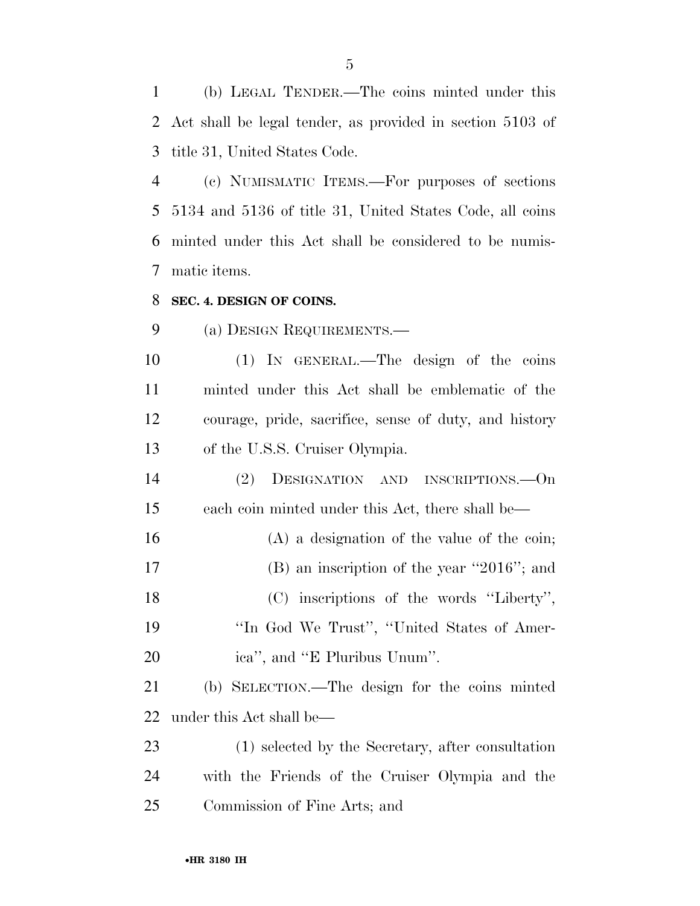(b) LEGAL TENDER.—The coins minted under this Act shall be legal tender, as provided in section 5103 of title 31, United States Code.

 (c) NUMISMATIC ITEMS.—For purposes of sections 5134 and 5136 of title 31, United States Code, all coins minted under this Act shall be considered to be numis-matic items.

#### **SEC. 4. DESIGN OF COINS.**

(a) DESIGN REQUIREMENTS.—

 (1) IN GENERAL.—The design of the coins minted under this Act shall be emblematic of the courage, pride, sacrifice, sense of duty, and history of the U.S.S. Cruiser Olympia.

 (2) DESIGNATION AND INSCRIPTIONS.—On each coin minted under this Act, there shall be—

 (A) a designation of the value of the coin; (B) an inscription of the year ''2016''; and (C) inscriptions of the words ''Liberty'', ''In God We Trust'', ''United States of Amer-ica'', and ''E Pluribus Unum''.

 (b) SELECTION.—The design for the coins minted under this Act shall be—

 (1) selected by the Secretary, after consultation with the Friends of the Cruiser Olympia and the Commission of Fine Arts; and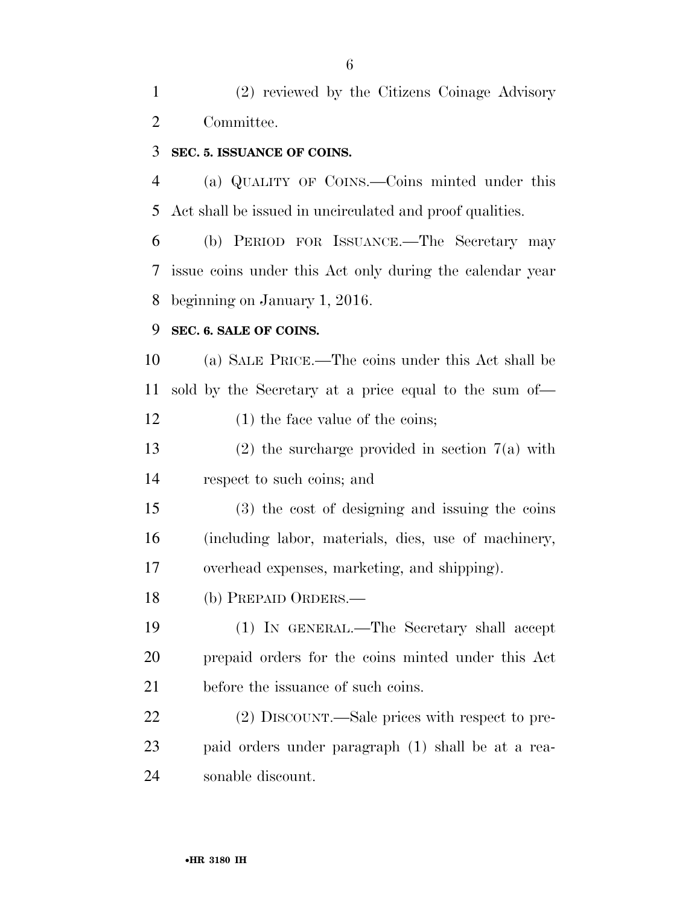(2) reviewed by the Citizens Coinage Advisory Committee.

## **SEC. 5. ISSUANCE OF COINS.**

 (a) QUALITY OF COINS.—Coins minted under this Act shall be issued in uncirculated and proof qualities.

 (b) PERIOD FOR ISSUANCE.—The Secretary may issue coins under this Act only during the calendar year beginning on January 1, 2016.

## **SEC. 6. SALE OF COINS.**

 (a) SALE PRICE.—The coins under this Act shall be sold by the Secretary at a price equal to the sum of—

12 (1) the face value of the coins;

 (2) the surcharge provided in section 7(a) with respect to such coins; and

 (3) the cost of designing and issuing the coins (including labor, materials, dies, use of machinery, overhead expenses, marketing, and shipping).

(b) PREPAID ORDERS.—

 (1) IN GENERAL.—The Secretary shall accept prepaid orders for the coins minted under this Act before the issuance of such coins.

22 (2) DISCOUNT.—Sale prices with respect to pre- paid orders under paragraph (1) shall be at a rea-sonable discount.